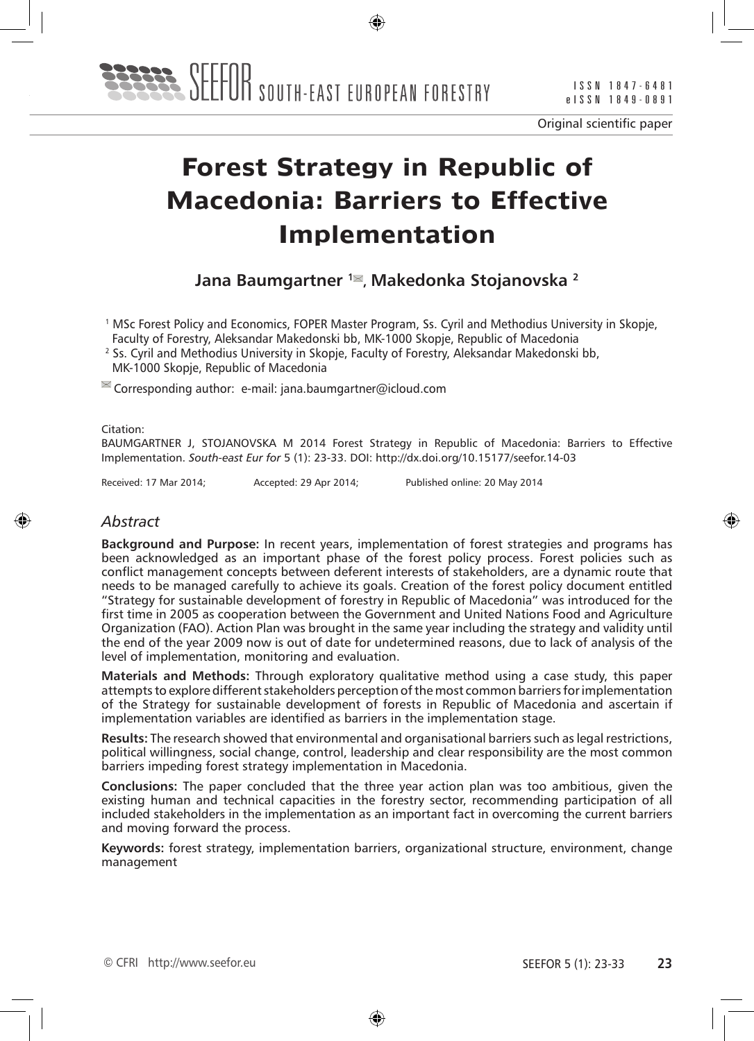

# **Forest Strategy in Republic of Macedonia: Barriers to Effective Implementation**

# **Jana Baumgartner <sup>1</sup><sup>■</sup>, Makedonka Stojanovska<sup>2</sup>**

1 MSc Forest Policy and Economics, FOPER Master Program, Ss. Cyril and Methodius University in Skopje, Faculty of Forestry, Aleksandar Makedonski bb, MK-1000 Skopje, Republic of Macedonia

2 Ss. Cyril and Methodius University in Skopje, Faculty of Forestry, Aleksandar Makedonski bb, MK-1000 Skopje, Republic of Macedonia

 $\cong$  Corresponding author: e-mail: jana.baumgartner@icloud.com

Citation:

BAUMGARTNER J, STOJANOVSKA M 2014 Forest Strategy in Republic of Macedonia: Barriers to Effective Implementation. *South-east Eur for* 5 (1): 23-33. DOI: http://dx.doi.org/10.15177/seefor.14-03

Received: 17 Mar 2014; Accepted: 29 Apr 2014; Published online: 20 May 2014

#### *Abstract*

**Background and Purpose:** In recent years, implementation of forest strategies and programs has been acknowledged as an important phase of the forest policy process. Forest policies such as conflict management concepts between deferent interests of stakeholders, are a dynamic route that needs to be managed carefully to achieve its goals. Creation of the forest policy document entitled "Strategy for sustainable development of forestry in Republic of Macedonia" was introduced for the first time in 2005 as cooperation between the Government and United Nations Food and Agriculture Organization (FAO). Action Plan was brought in the same year including the strategy and validity until the end of the year 2009 now is out of date for undetermined reasons, due to lack of analysis of the level of implementation, monitoring and evaluation.

**Materials and Methods:** Through exploratory qualitative method using a case study, this paper attempts to explore different stakeholders perception of the most common barriers for implementation of the Strategy for sustainable development of forests in Republic of Macedonia and ascertain if implementation variables are identified as barriers in the implementation stage.

**Results:** The research showed that environmental and organisational barriers such as legal restrictions, political willingness, social change, control, leadership and clear responsibility are the most common barriers impeding forest strategy implementation in Macedonia.

**Conclusions:** The paper concluded that the three year action plan was too ambitious, given the existing human and technical capacities in the forestry sector, recommending participation of all included stakeholders in the implementation as an important fact in overcoming the current barriers and moving forward the process.

**Keywords:** forest strategy, implementation barriers, organizational structure, environment, change management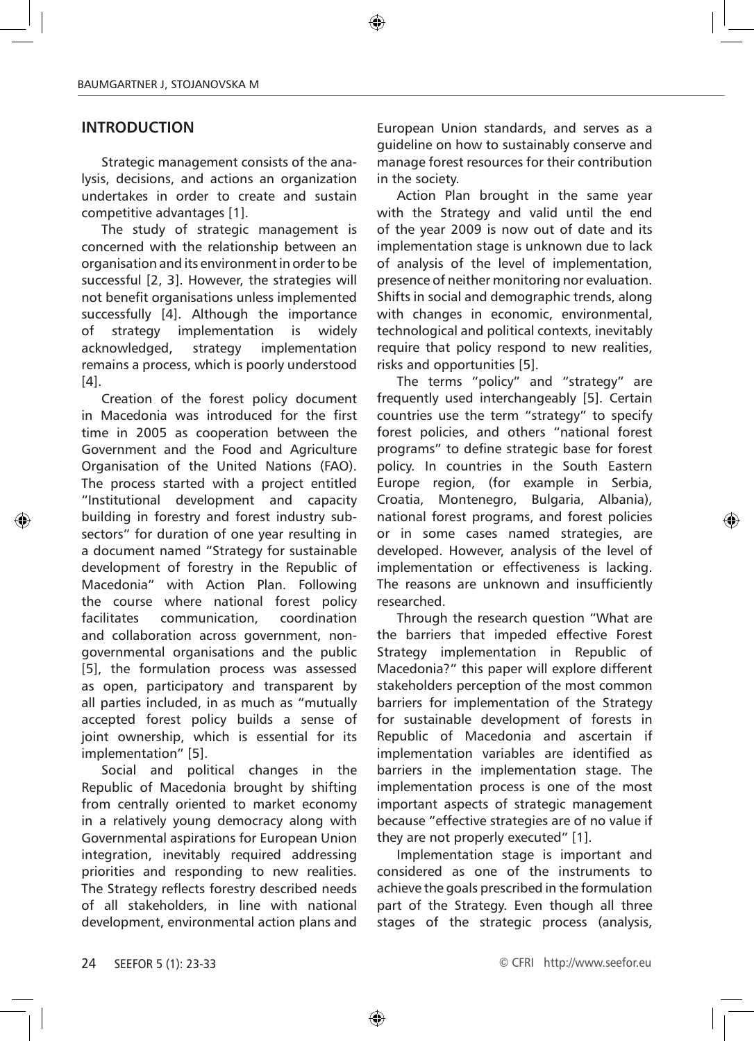### **INTRODUCTION**

Strategic management consists of the analysis, decisions, and actions an organization undertakes in order to create and sustain competitive advantages [1].

The study of strategic management is concerned with the relationship between an organisation and its environment in order to be successful [2, 3]. However, the strategies will not benefit organisations unless implemented successfully [4]. Although the importance of strategy implementation is widely acknowledged, strategy implementation remains a process, which is poorly understood [4].

Creation of the forest policy document in Macedonia was introduced for the first time in 2005 as cooperation between the Government and the Food and Agriculture Organisation of the United Nations (FAO). The process started with a project entitled "Institutional development and capacity building in forestry and forest industry subsectors" for duration of one year resulting in a document named "Strategy for sustainable development of forestry in the Republic of Macedonia" with Action Plan. Following the course where national forest policy facilitates communication, coordination and collaboration across government, nongovernmental organisations and the public [5], the formulation process was assessed as open, participatory and transparent by all parties included, in as much as "mutually accepted forest policy builds a sense of joint ownership, which is essential for its implementation" [5].

Social and political changes in the Republic of Macedonia brought by shifting from centrally oriented to market economy in a relatively young democracy along with Governmental aspirations for European Union integration, inevitably required addressing priorities and responding to new realities. The Strategy reflects forestry described needs of all stakeholders, in line with national development, environmental action plans and

European Union standards, and serves as a guideline on how to sustainably conserve and manage forest resources for their contribution in the society.

Action Plan brought in the same year with the Strategy and valid until the end of the year 2009 is now out of date and its implementation stage is unknown due to lack of analysis of the level of implementation, presence of neither monitoring nor evaluation. Shifts in social and demographic trends, along with changes in economic, environmental, technological and political contexts, inevitably require that policy respond to new realities, risks and opportunities [5].

The terms "policy" and "strategy" are frequently used interchangeably [5]. Certain countries use the term "strategy" to specify forest policies, and others "national forest programs" to define strategic base for forest policy. In countries in the South Eastern Europe region, (for example in Serbia, Croatia, Montenegro, Bulgaria, Albania), national forest programs, and forest policies or in some cases named strategies, are developed. However, analysis of the level of implementation or effectiveness is lacking. The reasons are unknown and insufficiently researched.

Through the research question "What are the barriers that impeded effective Forest Strategy implementation in Republic of Macedonia?" this paper will explore different stakeholders perception of the most common barriers for implementation of the Strategy for sustainable development of forests in Republic of Macedonia and ascertain if implementation variables are identified as barriers in the implementation stage. The implementation process is one of the most important aspects of strategic management because "effective strategies are of no value if they are not properly executed" [1].

Implementation stage is important and considered as one of the instruments to achieve the goals prescribed in the formulation part of the Strategy. Even though all three stages of the strategic process (analysis,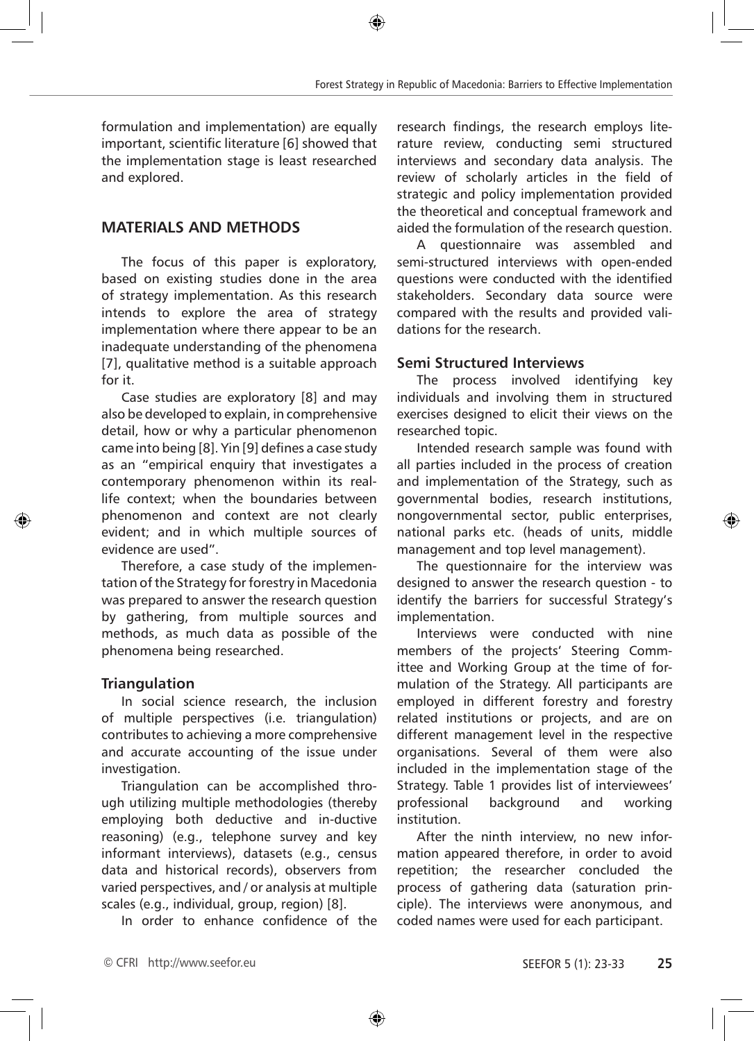formulation and implementation) are equally important, scientific literature [6] showed that the implementation stage is least researched and explored.

# **MATERIALS AND METHODS**

The focus of this paper is exploratory, based on existing studies done in the area of strategy implementation. As this research intends to explore the area of strategy implementation where there appear to be an inadequate understanding of the phenomena [7], qualitative method is a suitable approach for it.

Case studies are exploratory [8] and may also be developed to explain, in comprehensive detail, how or why a particular phenomenon came into being [8]. Yin [9] defines a case study as an "empirical enquiry that investigates a contemporary phenomenon within its reallife context; when the boundaries between phenomenon and context are not clearly evident; and in which multiple sources of evidence are used".

Therefore, a case study of the implementation of the Strategy for forestry in Macedonia was prepared to answer the research question by gathering, from multiple sources and methods, as much data as possible of the phenomena being researched.

#### **Triangulation**

In social science research, the inclusion of multiple perspectives (i.e. triangulation) contributes to achieving a more comprehensive and accurate accounting of the issue under investigation.

Triangulation can be accomplished through utilizing multiple methodologies (thereby employing both deductive and in-ductive reasoning) (e.g., telephone survey and key informant interviews), datasets (e.g., census data and historical records), observers from varied perspectives, and / or analysis at multiple scales (e.g., individual, group, region) [8].

In order to enhance confidence of the

research findings, the research employs literature review, conducting semi structured interviews and secondary data analysis. The review of scholarly articles in the field of strategic and policy implementation provided the theoretical and conceptual framework and aided the formulation of the research question.

A questionnaire was assembled and semi-structured interviews with open-ended questions were conducted with the identified stakeholders. Secondary data source were compared with the results and provided validations for the research.

#### **Semi Structured Interviews**

The process involved identifying key individuals and involving them in structured exercises designed to elicit their views on the researched topic.

Intended research sample was found with all parties included in the process of creation and implementation of the Strategy, such as governmental bodies, research institutions, nongovernmental sector, public enterprises, national parks etc. (heads of units, middle management and top level management).

The questionnaire for the interview was designed to answer the research question - to identify the barriers for successful Strategy's implementation.

Interviews were conducted with nine members of the projects' Steering Committee and Working Group at the time of formulation of the Strategy. All participants are employed in different forestry and forestry related institutions or projects, and are on different management level in the respective organisations. Several of them were also included in the implementation stage of the Strategy. Table 1 provides list of interviewees' professional background and working institution.

After the ninth interview, no new information appeared therefore, in order to avoid repetition; the researcher concluded the process of gathering data (saturation principle). The interviews were anonymous, and coded names were used for each participant.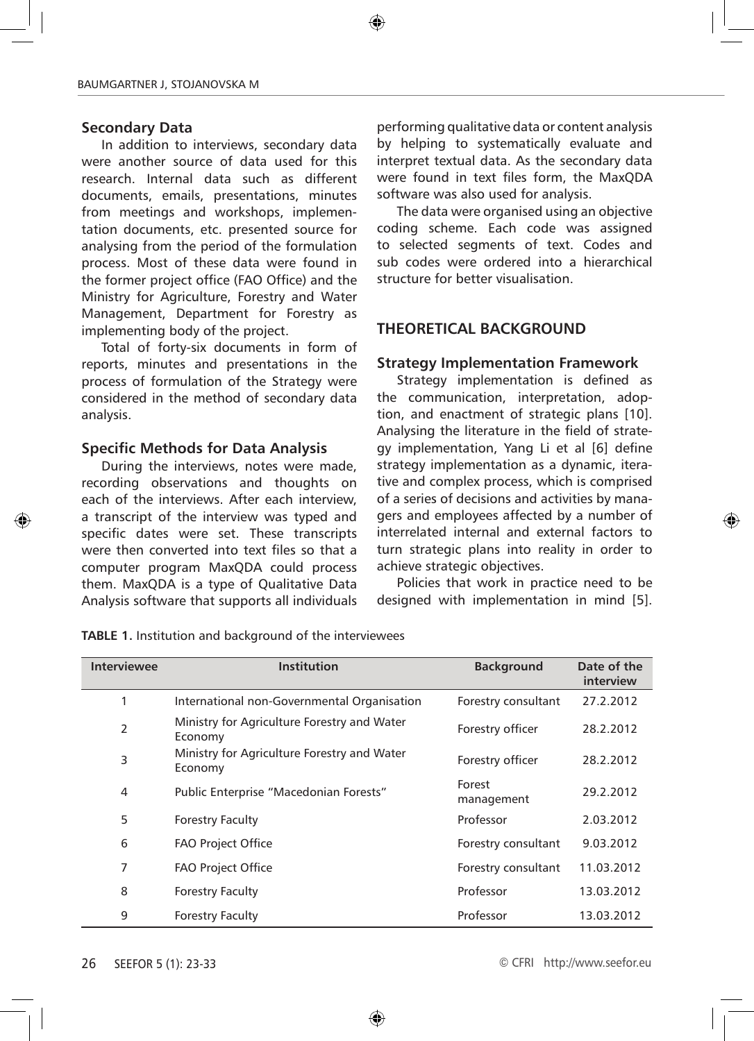#### **Secondary Data**

In addition to interviews, secondary data were another source of data used for this research. Internal data such as different documents, emails, presentations, minutes from meetings and workshops, implementation documents, etc. presented source for analysing from the period of the formulation process. Most of these data were found in the former project office (FAO Office) and the Ministry for Agriculture, Forestry and Water Management, Department for Forestry as implementing body of the project.

Total of forty-six documents in form of reports, minutes and presentations in the process of formulation of the Strategy were considered in the method of secondary data analysis.

#### **Specific Methods for Data Analysis**

During the interviews, notes were made, recording observations and thoughts on each of the interviews. After each interview, a transcript of the interview was typed and specific dates were set. These transcripts were then converted into text files so that a computer program MaxQDA could process them. MaxQDA is a type of Qualitative Data Analysis software that supports all individuals

performing qualitative data or content analysis by helping to systematically evaluate and interpret textual data. As the secondary data were found in text files form, the MaxQDA software was also used for analysis.

The data were organised using an objective coding scheme. Each code was assigned to selected segments of text. Codes and sub codes were ordered into a hierarchical structure for better visualisation.

#### **THEORETICAL BACKGROUND**

#### **Strategy Implementation Framework**

Strategy implementation is defined as the communication, interpretation, adoption, and enactment of strategic plans [10]. Analysing the literature in the field of strategy implementation, Yang Li et al [6] define strategy implementation as a dynamic, iterative and complex process, which is comprised of a series of decisions and activities by managers and employees affected by a number of interrelated internal and external factors to turn strategic plans into reality in order to achieve strategic objectives.

Policies that work in practice need to be designed with implementation in mind [5].

| <b>Interviewee</b> | <b>Institution</b>                                     | <b>Background</b>    | Date of the<br>interview |
|--------------------|--------------------------------------------------------|----------------------|--------------------------|
| 1                  | International non-Governmental Organisation            | Forestry consultant  | 27.2.2012                |
| $\overline{2}$     | Ministry for Agriculture Forestry and Water<br>Economy | Forestry officer     | 28.2.2012                |
| 3                  | Ministry for Agriculture Forestry and Water<br>Economy | Forestry officer     | 28.2.2012                |
| $\overline{4}$     | Public Enterprise "Macedonian Forests"                 | Forest<br>management | 29.2.2012                |
| 5                  | <b>Forestry Faculty</b>                                | Professor            | 2.03.2012                |
| 6                  | <b>FAO Project Office</b>                              | Forestry consultant  | 9.03.2012                |
| 7                  | <b>FAO Project Office</b>                              | Forestry consultant  | 11.03.2012               |
| 8                  | <b>Forestry Faculty</b>                                | Professor            | 13.03.2012               |
| 9                  | <b>Forestry Faculty</b>                                | Professor            | 13.03.2012               |

**TABLE 1.** Institution and background of the interviewees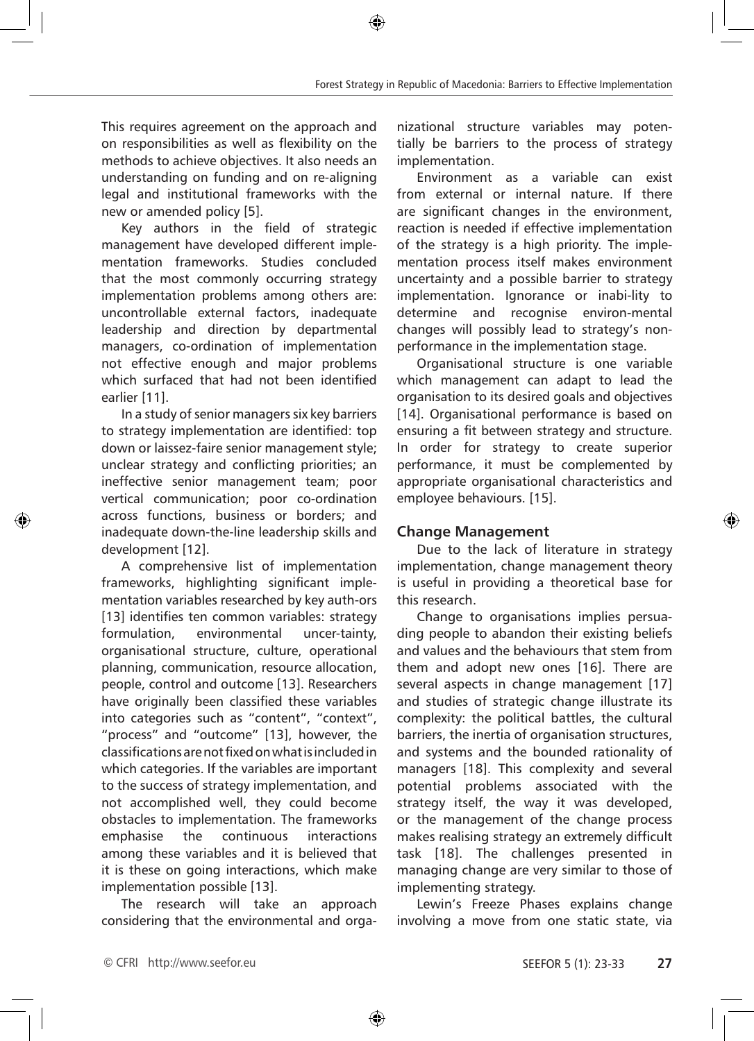This requires agreement on the approach and on responsibilities as well as flexibility on the methods to achieve objectives. It also needs an understanding on funding and on re-aligning legal and institutional frameworks with the new or amended policy [5].

Key authors in the field of strategic management have developed different implementation frameworks. Studies concluded that the most commonly occurring strategy implementation problems among others are: uncontrollable external factors, inadequate leadership and direction by departmental managers, co-ordination of implementation not effective enough and major problems which surfaced that had not been identified earlier [11].

In a study of senior managers six key barriers to strategy implementation are identified: top down or laissez-faire senior management style; unclear strategy and conflicting priorities; an ineffective senior management team; poor vertical communication; poor co-ordination across functions, business or borders; and inadequate down-the-line leadership skills and development [12].

A comprehensive list of implementation frameworks, highlighting significant implementation variables researched by key auth-ors [13] identifies ten common variables: strategy formulation, environmental uncer-tainty, organisational structure, culture, operational planning, communication, resource allocation, people, control and outcome [13]. Researchers have originally been classified these variables into categories such as "content", "context", "process" and "outcome" [13], however, the classifications are not fixed on what is included in which categories. If the variables are important to the success of strategy implementation, and not accomplished well, they could become obstacles to implementation. The frameworks emphasise the continuous interactions among these variables and it is believed that it is these on going interactions, which make implementation possible [13].

The research will take an approach considering that the environmental and organizational structure variables may potentially be barriers to the process of strategy implementation.

Environment as a variable can exist from external or internal nature. If there are significant changes in the environment, reaction is needed if effective implementation of the strategy is a high priority. The implementation process itself makes environment uncertainty and a possible barrier to strategy implementation. Ignorance or inabi-lity to determine and recognise environ-mental changes will possibly lead to strategy's nonperformance in the implementation stage.

Organisational structure is one variable which management can adapt to lead the organisation to its desired goals and objectives [14]. Organisational performance is based on ensuring a fit between strategy and structure. In order for strategy to create superior performance, it must be complemented by appropriate organisational characteristics and employee behaviours. [15].

# **Change Management**

Due to the lack of literature in strategy implementation, change management theory is useful in providing a theoretical base for this research.

Change to organisations implies persuading people to abandon their existing beliefs and values and the behaviours that stem from them and adopt new ones [16]. There are several aspects in change management [17] and studies of strategic change illustrate its complexity: the political battles, the cultural barriers, the inertia of organisation structures, and systems and the bounded rationality of managers [18]. This complexity and several potential problems associated with the strategy itself, the way it was developed, or the management of the change process makes realising strategy an extremely difficult task [18]. The challenges presented in managing change are very similar to those of implementing strategy.

Lewin's Freeze Phases explains change involving a move from one static state, via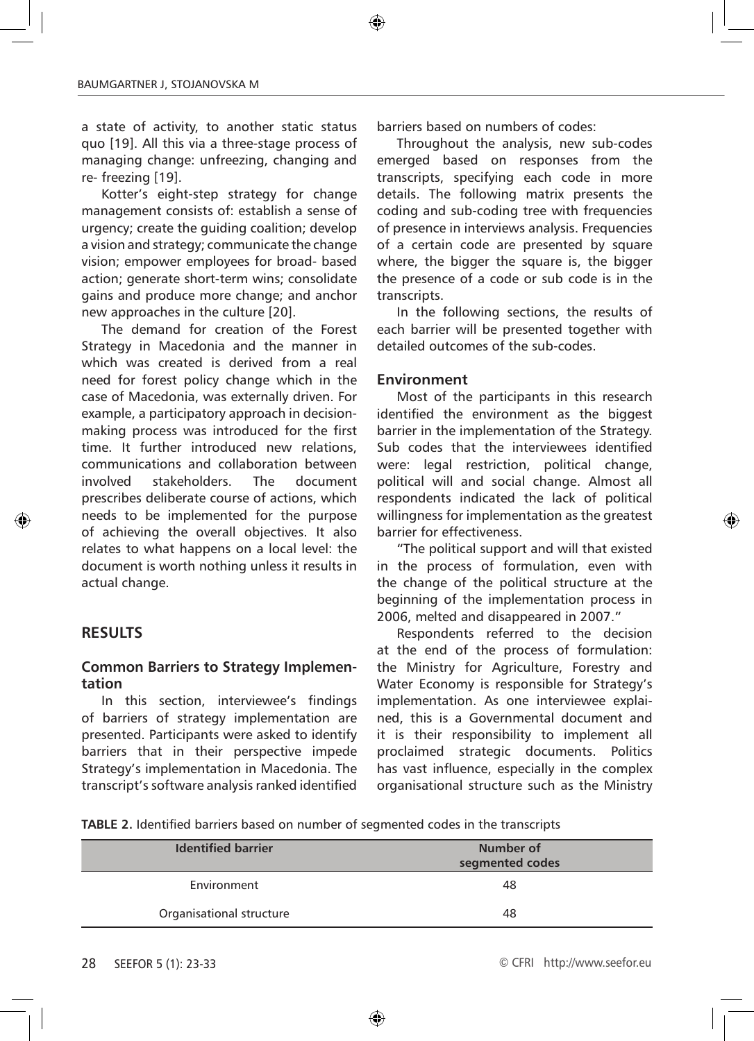a state of activity, to another static status quo [19]. All this via a three-stage process of managing change: unfreezing, changing and re- freezing [19].

Kotter's eight-step strategy for change management consists of: establish a sense of urgency; create the guiding coalition; develop a vision and strategy; communicate the change vision; empower employees for broad- based action; generate short-term wins; consolidate gains and produce more change; and anchor new approaches in the culture [20].

The demand for creation of the Forest Strategy in Macedonia and the manner in which was created is derived from a real need for forest policy change which in the case of Macedonia, was externally driven. For example, a participatory approach in decisionmaking process was introduced for the first time. It further introduced new relations, communications and collaboration between involved stakeholders. The document prescribes deliberate course of actions, which needs to be implemented for the purpose of achieving the overall objectives. It also relates to what happens on a local level: the document is worth nothing unless it results in actual change.

#### **RESULTS**

#### **Common Barriers to Strategy Implementation**

In this section, interviewee's findings of barriers of strategy implementation are presented. Participants were asked to identify barriers that in their perspective impede Strategy's implementation in Macedonia. The transcript's software analysis ranked identified barriers based on numbers of codes:

Throughout the analysis, new sub-codes emerged based on responses from the transcripts, specifying each code in more details. The following matrix presents the coding and sub-coding tree with frequencies of presence in interviews analysis. Frequencies of a certain code are presented by square where, the bigger the square is, the bigger the presence of a code or sub code is in the transcripts.

In the following sections, the results of each barrier will be presented together with detailed outcomes of the sub-codes.

#### **Environment**

Most of the participants in this research identified the environment as the biggest barrier in the implementation of the Strategy. Sub codes that the interviewees identified were: legal restriction, political change, political will and social change. Almost all respondents indicated the lack of political willingness for implementation as the greatest barrier for effectiveness.

"The political support and will that existed in the process of formulation, even with the change of the political structure at the beginning of the implementation process in 2006, melted and disappeared in 2007."

Respondents referred to the decision at the end of the process of formulation: the Ministry for Agriculture, Forestry and Water Economy is responsible for Strategy's implementation. As one interviewee explained, this is a Governmental document and it is their responsibility to implement all proclaimed strategic documents. Politics has vast influence, especially in the complex organisational structure such as the Ministry

**TABLE 2.** Identified barriers based on number of segmented codes in the transcripts

| <b>Identified barrier</b> | Number of<br>segmented codes |
|---------------------------|------------------------------|
| Environment               | 48                           |
| Organisational structure  | 48                           |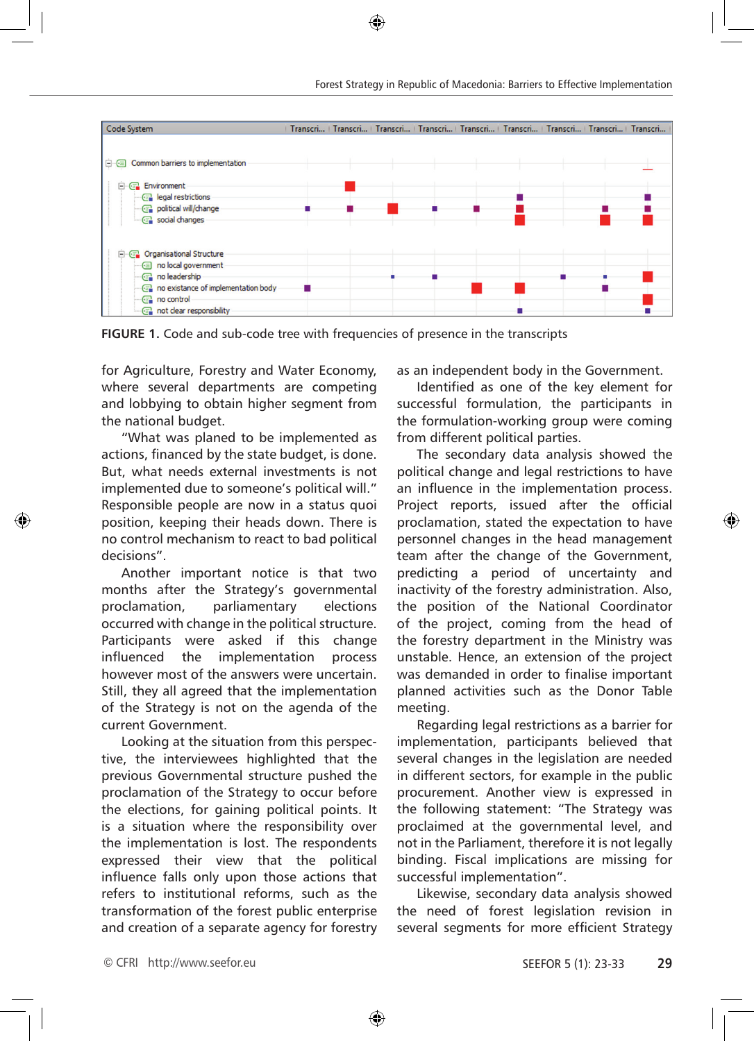

**FIGURE 1.** Code and sub-code tree with frequencies of presence in the transcripts

for Agriculture, Forestry and Water Economy, where several departments are competing and lobbying to obtain higher segment from the national budget.

"What was planed to be implemented as actions, financed by the state budget, is done. But, what needs external investments is not implemented due to someone's political will." Responsible people are now in a status quoi position, keeping their heads down. There is no control mechanism to react to bad political decisions".

Another important notice is that two months after the Strategy's governmental proclamation, parliamentary elections occurred with change in the political structure. Participants were asked if this change influenced the implementation process however most of the answers were uncertain. Still, they all agreed that the implementation of the Strategy is not on the agenda of the current Government.

Looking at the situation from this perspective, the interviewees highlighted that the previous Governmental structure pushed the proclamation of the Strategy to occur before the elections, for gaining political points. It is a situation where the responsibility over the implementation is lost. The respondents expressed their view that the political influence falls only upon those actions that refers to institutional reforms, such as the transformation of the forest public enterprise and creation of a separate agency for forestry as an independent body in the Government.

Identified as one of the key element for successful formulation, the participants in the formulation-working group were coming from different political parties.

The secondary data analysis showed the political change and legal restrictions to have an influence in the implementation process. Project reports, issued after the official proclamation, stated the expectation to have personnel changes in the head management team after the change of the Government, predicting a period of uncertainty and inactivity of the forestry administration. Also, the position of the National Coordinator of the project, coming from the head of the forestry department in the Ministry was unstable. Hence, an extension of the project was demanded in order to finalise important planned activities such as the Donor Table meeting.

Regarding legal restrictions as a barrier for implementation, participants believed that several changes in the legislation are needed in different sectors, for example in the public procurement. Another view is expressed in the following statement: "The Strategy was proclaimed at the governmental level, and not in the Parliament, therefore it is not legally binding. Fiscal implications are missing for successful implementation".

Likewise, secondary data analysis showed the need of forest legislation revision in several segments for more efficient Strategy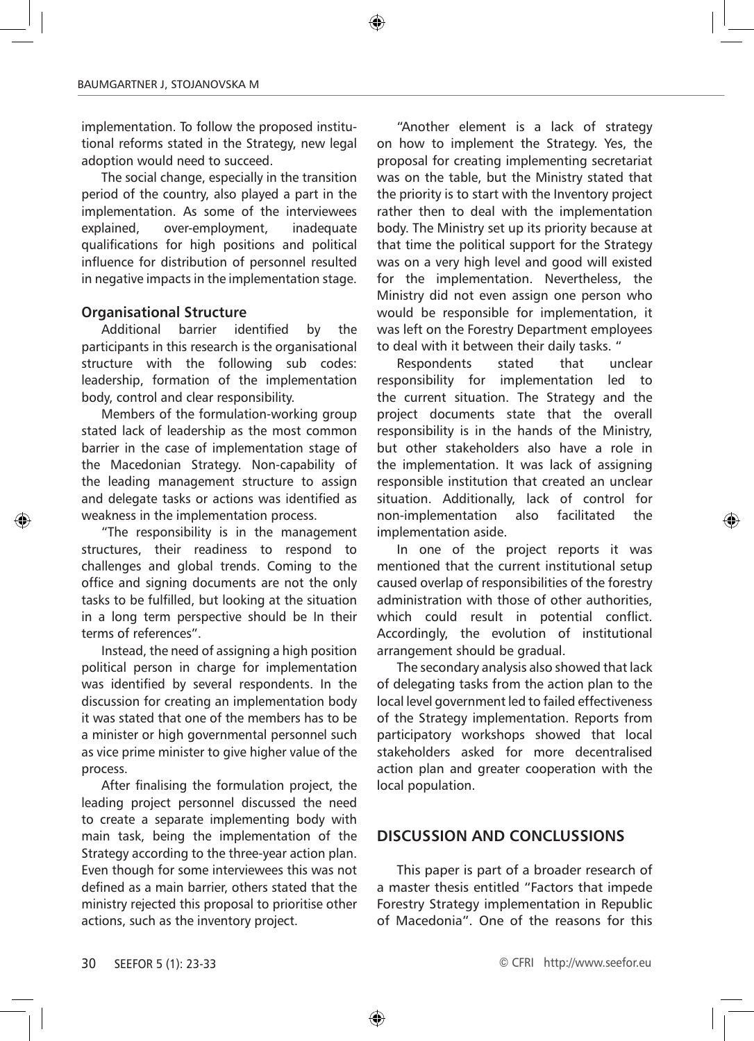implementation. To follow the proposed institutional reforms stated in the Strategy, new legal adoption would need to succeed.

The social change, especially in the transition period of the country, also played a part in the implementation. As some of the interviewees explained, over-employment, inadequate qualifications for high positions and political influence for distribution of personnel resulted in negative impacts in the implementation stage.

#### **Organisational Structure**

Additional barrier identified by the participants in this research is the organisational structure with the following sub codes: leadership, formation of the implementation body, control and clear responsibility.

Members of the formulation-working group stated lack of leadership as the most common barrier in the case of implementation stage of the Macedonian Strategy. Non-capability of the leading management structure to assign and delegate tasks or actions was identified as weakness in the implementation process.

"The responsibility is in the management structures, their readiness to respond to challenges and global trends. Coming to the office and signing documents are not the only tasks to be fulfilled, but looking at the situation in a long term perspective should be In their terms of references".

Instead, the need of assigning a high position political person in charge for implementation was identified by several respondents. In the discussion for creating an implementation body it was stated that one of the members has to be a minister or high governmental personnel such as vice prime minister to give higher value of the process.

After finalising the formulation project, the leading project personnel discussed the need to create a separate implementing body with main task, being the implementation of the Strategy according to the three-year action plan. Even though for some interviewees this was not defined as a main barrier, others stated that the ministry rejected this proposal to prioritise other actions, such as the inventory project.

"Another element is a lack of strategy on how to implement the Strategy. Yes, the proposal for creating implementing secretariat was on the table, but the Ministry stated that the priority is to start with the Inventory project rather then to deal with the implementation body. The Ministry set up its priority because at that time the political support for the Strategy was on a very high level and good will existed for the implementation. Nevertheless, the Ministry did not even assign one person who would be responsible for implementation, it was left on the Forestry Department employees to deal with it between their daily tasks. "

Respondents stated that unclear responsibility for implementation led to the current situation. The Strategy and the project documents state that the overall responsibility is in the hands of the Ministry, but other stakeholders also have a role in the implementation. It was lack of assigning responsible institution that created an unclear situation. Additionally, lack of control for non-implementation also facilitated the implementation aside.

In one of the project reports it was mentioned that the current institutional setup caused overlap of responsibilities of the forestry administration with those of other authorities, which could result in potential conflict. Accordingly, the evolution of institutional arrangement should be gradual.

The secondary analysis also showed that lack of delegating tasks from the action plan to the local level government led to failed effectiveness of the Strategy implementation. Reports from participatory workshops showed that local stakeholders asked for more decentralised action plan and greater cooperation with the local population.

# **DISCUSSION AND CONCLUSSIONS**

This paper is part of a broader research of a master thesis entitled "Factors that impede Forestry Strategy implementation in Republic of Macedonia". One of the reasons for this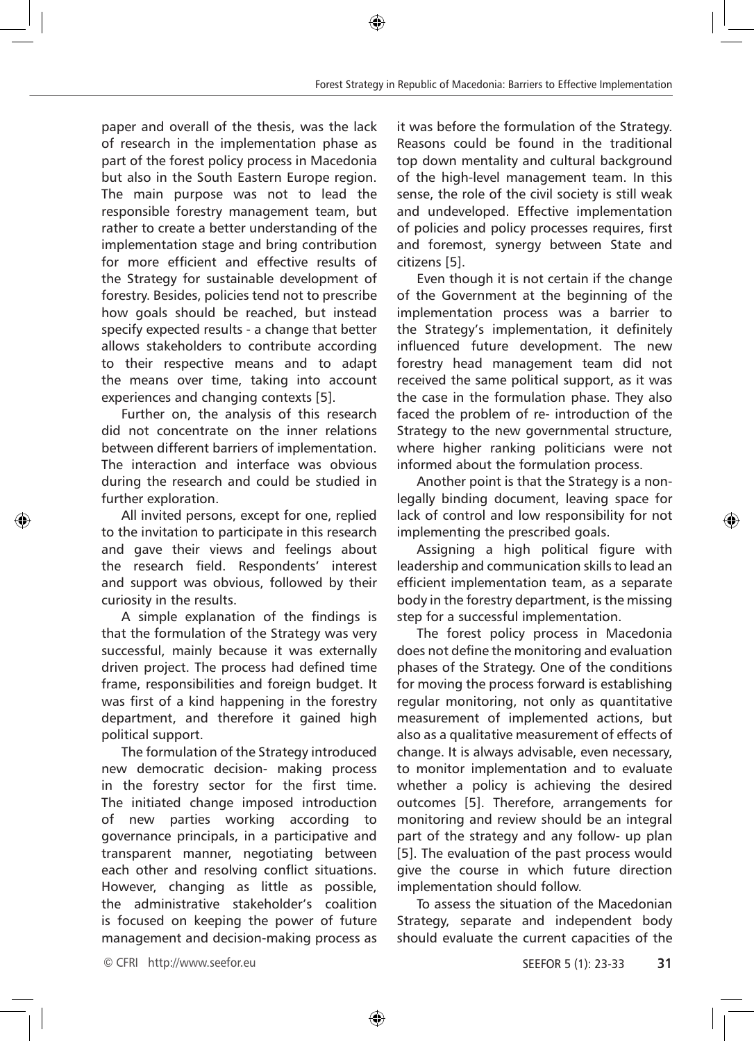paper and overall of the thesis, was the lack of research in the implementation phase as part of the forest policy process in Macedonia but also in the South Eastern Europe region. The main purpose was not to lead the responsible forestry management team, but rather to create a better understanding of the implementation stage and bring contribution for more efficient and effective results of the Strategy for sustainable development of forestry. Besides, policies tend not to prescribe how goals should be reached, but instead specify expected results - a change that better allows stakeholders to contribute according to their respective means and to adapt the means over time, taking into account experiences and changing contexts [5].

Further on, the analysis of this research did not concentrate on the inner relations between different barriers of implementation. The interaction and interface was obvious during the research and could be studied in further exploration.

All invited persons, except for one, replied to the invitation to participate in this research and gave their views and feelings about the research field. Respondents' interest and support was obvious, followed by their curiosity in the results.

A simple explanation of the findings is that the formulation of the Strategy was very successful, mainly because it was externally driven project. The process had defined time frame, responsibilities and foreign budget. It was first of a kind happening in the forestry department, and therefore it gained high political support.

The formulation of the Strategy introduced new democratic decision- making process in the forestry sector for the first time. The initiated change imposed introduction of new parties working according to governance principals, in a participative and transparent manner, negotiating between each other and resolving conflict situations. However, changing as little as possible, the administrative stakeholder's coalition is focused on keeping the power of future management and decision-making process as it was before the formulation of the Strategy. Reasons could be found in the traditional top down mentality and cultural background of the high-level management team. In this sense, the role of the civil society is still weak and undeveloped. Effective implementation of policies and policy processes requires, first and foremost, synergy between State and citizens [5].

Even though it is not certain if the change of the Government at the beginning of the implementation process was a barrier to the Strategy's implementation, it definitely influenced future development. The new forestry head management team did not received the same political support, as it was the case in the formulation phase. They also faced the problem of re- introduction of the Strategy to the new governmental structure, where higher ranking politicians were not informed about the formulation process.

Another point is that the Strategy is a nonlegally binding document, leaving space for lack of control and low responsibility for not implementing the prescribed goals.

Assigning a high political figure with leadership and communication skills to lead an efficient implementation team, as a separate body in the forestry department, is the missing step for a successful implementation.

The forest policy process in Macedonia does not define the monitoring and evaluation phases of the Strategy. One of the conditions for moving the process forward is establishing regular monitoring, not only as quantitative measurement of implemented actions, but also as a qualitative measurement of effects of change. It is always advisable, even necessary, to monitor implementation and to evaluate whether a policy is achieving the desired outcomes [5]. Therefore, arrangements for monitoring and review should be an integral part of the strategy and any follow- up plan [5]. The evaluation of the past process would give the course in which future direction implementation should follow.

To assess the situation of the Macedonian Strategy, separate and independent body should evaluate the current capacities of the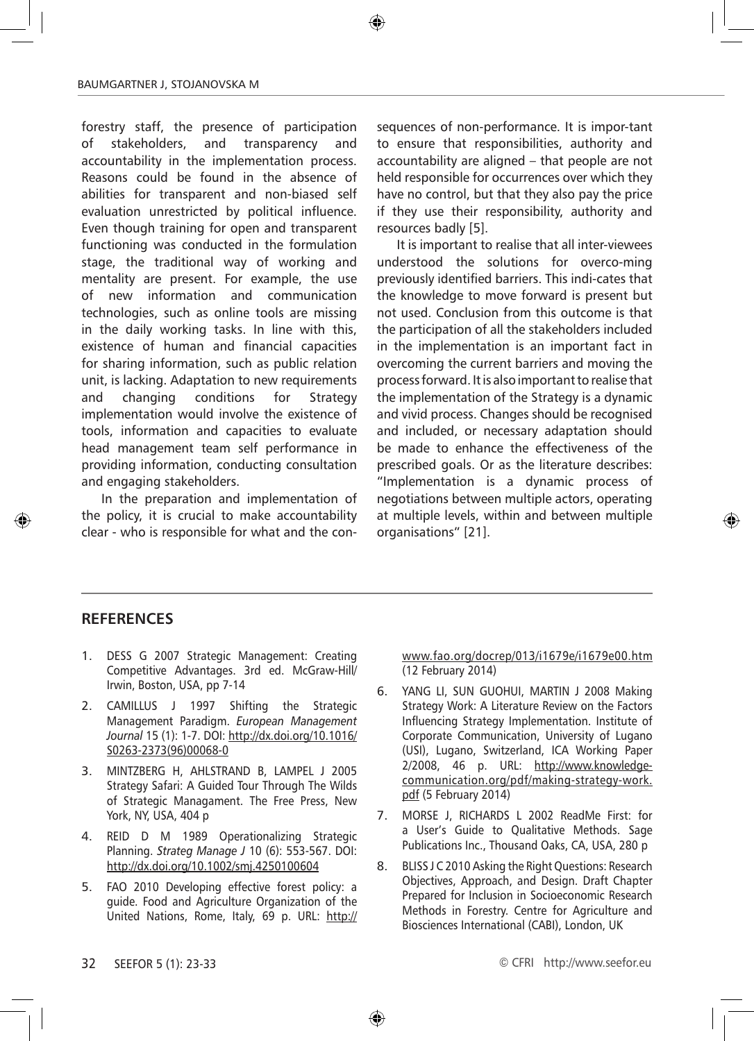forestry staff, the presence of participation of stakeholders, and transparency and accountability in the implementation process. Reasons could be found in the absence of abilities for transparent and non-biased self evaluation unrestricted by political influence. Even though training for open and transparent functioning was conducted in the formulation stage, the traditional way of working and mentality are present. For example, the use of new information and communication technologies, such as online tools are missing in the daily working tasks. In line with this, existence of human and financial capacities for sharing information, such as public relation unit, is lacking. Adaptation to new requirements and changing conditions for Strategy implementation would involve the existence of tools, information and capacities to evaluate head management team self performance in providing information, conducting consultation and engaging stakeholders.

In the preparation and implementation of the policy, it is crucial to make accountability clear - who is responsible for what and the consequences of non-performance. It is impor-tant to ensure that responsibilities, authority and accountability are aligned – that people are not held responsible for occurrences over which they have no control, but that they also pay the price if they use their responsibility, authority and resources badly [5].

It is important to realise that all inter-viewees understood the solutions for overco-ming previously identified barriers. This indi-cates that the knowledge to move forward is present but not used. Conclusion from this outcome is that the participation of all the stakeholders included in the implementation is an important fact in overcoming the current barriers and moving the process forward. It is also important to realise that the implementation of the Strategy is a dynamic and vivid process. Changes should be recognised and included, or necessary adaptation should be made to enhance the effectiveness of the prescribed goals. Or as the literature describes: "Implementation is a dynamic process of negotiations between multiple actors, operating at multiple levels, within and between multiple organisations" [21].

# **RefereNces**

- 1. DESS G 2007 Strategic Management: Creating Competitive Advantages. 3rd ed. McGraw-Hill/ Irwin, Boston, USA, pp 7-14
- 2. CAMILLUS J 1997 Shifting the Strategic Management Paradigm. *European Management Journal* 15 (1): 1-7. DOI: http://dx.doi.org/10.1016/ S0263-2373(96)00068-0
- 3. MINTZBERG H, AHLSTRAND B, LAMPEL J 2005 Strategy Safari: A Guided Tour Through The Wilds of Strategic Managament. The Free Press, New York, NY, USA, 404 p
- 4. REID D M 1989 Operationalizing Strategic Planning. *Strateg Manage J* 10 (6): 553-567. DOI: http://dx.doi.org/10.1002/smj.4250100604
- 5. FAO 2010 Developing effective forest policy: a guide. Food and Agriculture Organization of the United Nations, Rome, Italy, 69 p. URL: http://

www.fao.org/docrep/013/i1679e/i1679e00.htm (12 February 2014)

- 6. YANG LI, SUN GUOHUI, MARTIN J 2008 Making Strategy Work: A Literature Review on the Factors Influencing Strategy Implementation. Institute of Corporate Communication, University of Lugano (USI), Lugano, Switzerland, ICA Working Paper 2/2008, 46 p. URL: http://www.knowledgecommunication.org/pdf/making-strategy-work. pdf (5 February 2014)
- 7. MORSE J, RICHARDS L 2002 ReadMe First: for a User's Guide to Qualitative Methods. Sage Publications Inc., Thousand Oaks, CA, USA, 280 p
- 8. BLISS J C 2010 Asking the Right Questions: Research Objectives, Approach, and Design. Draft Chapter Prepared for Inclusion in Socioeconomic Research Methods in Forestry. Centre for Agriculture and Biosciences International (CABI), London, UK